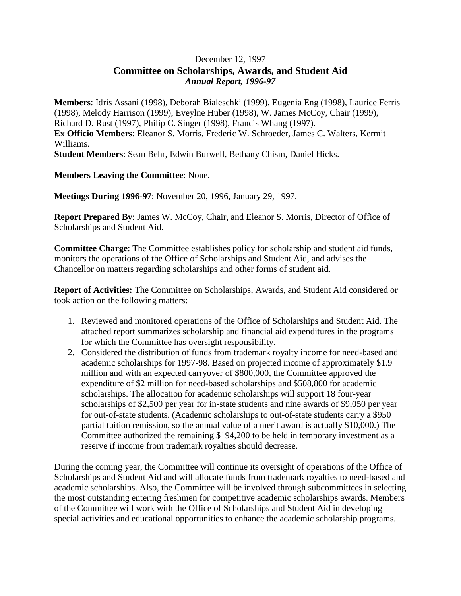## December 12, 1997 **Committee on Scholarships, Awards, and Student Aid** *Annual Report, 1996-97*

**Members**: Idris Assani (1998), Deborah Bialeschki (1999), Eugenia Eng (1998), Laurice Ferris (1998), Melody Harrison (1999), Eveylne Huber (1998), W. James McCoy, Chair (1999), Richard D. Rust (1997), Philip C. Singer (1998), Francis Whang (1997). **Ex Officio Members**: Eleanor S. Morris, Frederic W. Schroeder, James C. Walters, Kermit Williams.

**Student Members**: Sean Behr, Edwin Burwell, Bethany Chism, Daniel Hicks.

**Members Leaving the Committee**: None.

**Meetings During 1996-97**: November 20, 1996, January 29, 1997.

**Report Prepared By**: James W. McCoy, Chair, and Eleanor S. Morris, Director of Office of Scholarships and Student Aid.

**Committee Charge**: The Committee establishes policy for scholarship and student aid funds, monitors the operations of the Office of Scholarships and Student Aid, and advises the Chancellor on matters regarding scholarships and other forms of student aid.

**Report of Activities:** The Committee on Scholarships, Awards, and Student Aid considered or took action on the following matters:

- 1. Reviewed and monitored operations of the Office of Scholarships and Student Aid. The attached report summarizes scholarship and financial aid expenditures in the programs for which the Committee has oversight responsibility.
- 2. Considered the distribution of funds from trademark royalty income for need-based and academic scholarships for 1997-98. Based on projected income of approximately \$1.9 million and with an expected carryover of \$800,000, the Committee approved the expenditure of \$2 million for need-based scholarships and \$508,800 for academic scholarships. The allocation for academic scholarships will support 18 four-year scholarships of \$2,500 per year for in-state students and nine awards of \$9,050 per year for out-of-state students. (Academic scholarships to out-of-state students carry a \$950 partial tuition remission, so the annual value of a merit award is actually \$10,000.) The Committee authorized the remaining \$194,200 to be held in temporary investment as a reserve if income from trademark royalties should decrease.

During the coming year, the Committee will continue its oversight of operations of the Office of Scholarships and Student Aid and will allocate funds from trademark royalties to need-based and academic scholarships. Also, the Committee will be involved through subcommittees in selecting the most outstanding entering freshmen for competitive academic scholarships awards. Members of the Committee will work with the Office of Scholarships and Student Aid in developing special activities and educational opportunities to enhance the academic scholarship programs.